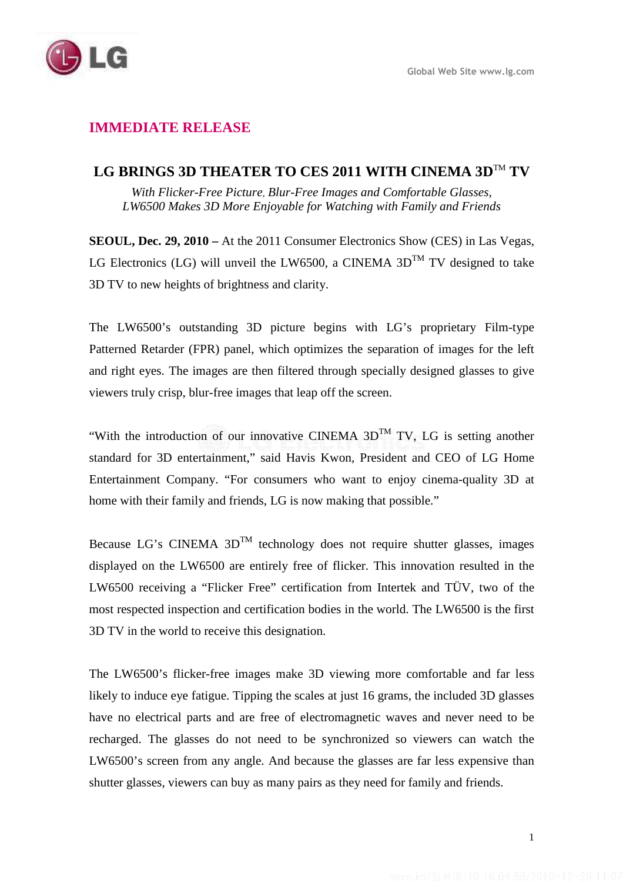# **IMMEDIATE RELEASE**

## LG BRINGS 3D THEATER TO CES 2011 WITH CINEMA 3D<sup>™</sup> TV

*With Flicker-Free Picture*, *Blur-Free Images and Comfortable Glasses, LW6500 Makes 3D More Enjoyable for Watching with Family and Friends* 

**SEOUL, Dec. 29, 2010 –** At the 2011 Consumer Electronics Show (CES) in Las Vegas, LG Electronics (LG) will unveil the LW6500, a CINEMA  $3D^{TM}$  TV designed to take 3D TV to new heights of brightness and clarity.

The LW6500's outstanding 3D picture begins with LG's proprietary Film-type Patterned Retarder (FPR) panel, which optimizes the separation of images for the left and right eyes. The images are then filtered through specially designed glasses to give viewers truly crisp, blur-free images that leap off the screen.

"With the introduction of our innovative CINEMA  $3D^{TM}$  TV, LG is setting another standard for 3D entertainment," said Havis Kwon, President and CEO of LG Home Entertainment Company. "For consumers who want to enjoy cinema-quality 3D at home with their family and friends, LG is now making that possible."

Because LG's CINEMA  $3D^{TM}$  technology does not require shutter glasses, images displayed on the LW6500 are entirely free of flicker. This innovation resulted in the LW6500 receiving a "Flicker Free" certification from Intertek and TÜV, two of the most respected inspection and certification bodies in the world. The LW6500 is the first 3D TV in the world to receive this designation.

The LW6500's flicker-free images make 3D viewing more comfortable and far less likely to induce eye fatigue. Tipping the scales at just 16 grams, the included 3D glasses have no electrical parts and are free of electromagnetic waves and never need to be recharged. The glasses do not need to be synchronized so viewers can watch the LW6500's screen from any angle. And because the glasses are far less expensive than shutter glasses, viewers can buy as many pairs as they need for family and friends.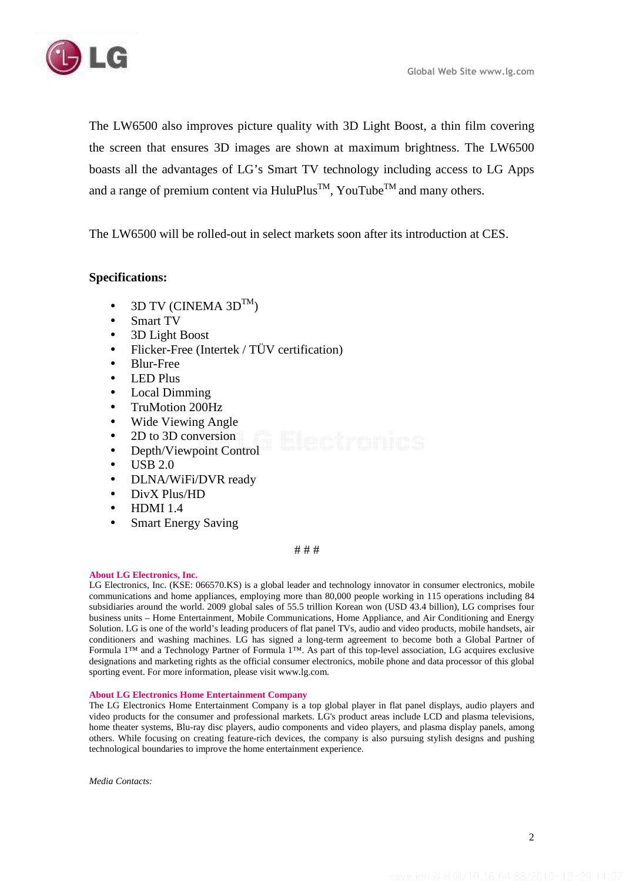

The LW6500 also improves picture quality with 3D Light Boost, a thin film covering the screen that ensures 3D images are shown at maximum brightness. The LW6500 boasts all the advantages of LG's Smart TV technology including access to LG Apps and a range of premium content via HuluPlus<sup>TM</sup>, YouTube<sup>TM</sup> and many others.

The LW6500 will be rolled-out in select markets soon after its introduction at CES.

### **Specifications:**

- 3D TV (CINEMA 3DTM)
- Smart TV
- 3D Light Boost
- Flicker-Free (Intertek / TÜV certification)
- Blur-Free
- LED Plus
- Local Dimming
- TruMotion 200Hz
- Wide Viewing Angle
- 2D to 3D conversion
- Depth/Viewpoint Control
- $\bullet$  USB 2.0
- DLNA/WiFi/DVR ready
- DivX Plus/HD
- $\bullet$  HDMI 1.4
- Smart Energy Saving

#### # # #

#### **About LG Electronics, Inc.**

LG Electronics, Inc. (KSE: 066570.KS) is a global leader and technology innovator in consumer electronics, mobile communications and home appliances, employing more than 80,000 people working in 115 operations including 84 subsidiaries around the world. 2009 global sales of 55.5 trillion Korean won (USD 43.4 billion), LG comprises four business units – Home Entertainment, Mobile Communications, Home Appliance, and Air Conditioning and Energy Solution. LG is one of the world's leading producers of flat panel TVs, audio and video products, mobile handsets, air conditioners and washing machines. LG has signed a long-term agreement to become both a Global Partner of Formula 1™ and a Technology Partner of Formula 1™. As part of this top-level association, LG acquires exclusive designations and marketing rights as the official consumer electronics, mobile phone and data processor of this global sporting event. For more information, please visit www.lg.com.

#### **About LG Electronics Home Entertainment Company**

The LG Electronics Home Entertainment Company is a top global player in flat panel displays, audio players and video products for the consumer and professional markets. LG's product areas include LCD and plasma televisions, home theater systems, Blu-ray disc players, audio components and video players, and plasma display panels, among others. While focusing on creating feature-rich devices, the company is also pursuing stylish designs and pushing technological boundaries to improve the home entertainment experience.

*Media Contacts:*